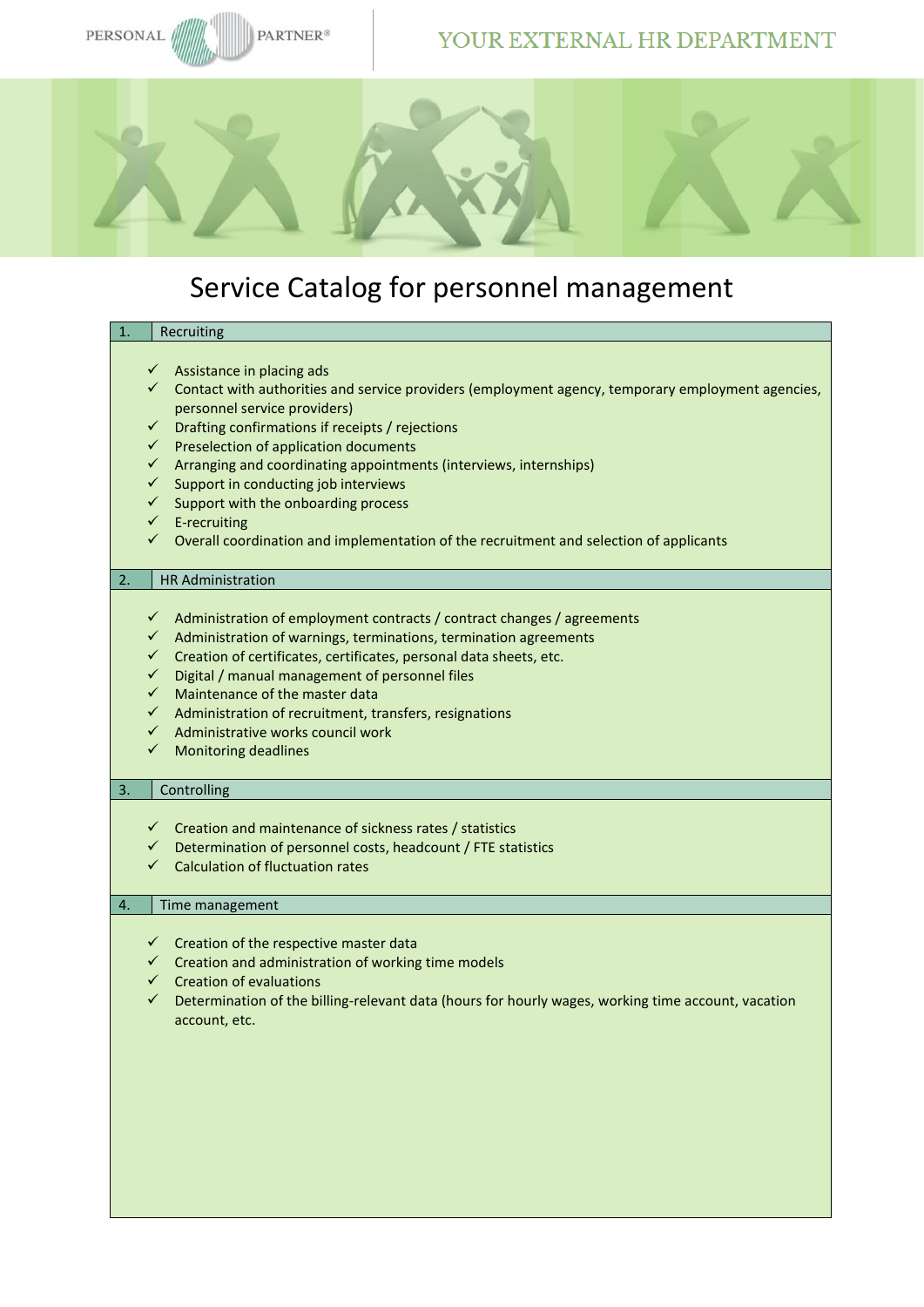### YOUR EXTERNAL HR DEPARTMENT



## Service Catalog for personnel management

# **Recruiting**

- ✓ Assistance in placing ads
- ✓ Contact with authorities and service providers (employment agency, temporary employment agencies, personnel service providers)
- persenter service processes,<br>  $\overline{a}$  Drafting confirmations if receipts / rejections
- ✓ Preselection of application documents
- ✓ Arranging and coordinating appointments (interviews, internships)
- ✓ Support in conducting job interviews
- $\checkmark$  Support with the onboarding process
- ✓ E-recruiting
- $\checkmark$  Overall coordination and implementation of the recruitment and selection of applicants

#### 2. HR Administration

- ✓ Administration of employment contracts / contract changes / agreements
- ✓ Administration of warnings, terminations, termination agreements
- ✓ Creation of certificates, certificates, personal data sheets, etc.
- ✓ Digital / manual management of personnel files
- $\sim$  Maintenance of the master data
- ✓ Administration of recruitment, transfers, resignations
- Administrative works council work
- ✓ Monitoring deadlines

#### 3. Controlling

- ✓ Creation and maintenance of sickness rates / statistics
- ✓ Determination of personnel costs, headcount / FTE statistics
- ✓ Calculation of fluctuation rates

#### 4. Time management

- ✓ Creation of the respective master data
- ✓ Creation and administration of working time models
- **Creation of evaluations**
- $\checkmark$  Determination of the billing-relevant data (hours for hourly wages, working time account, vacation account, etc.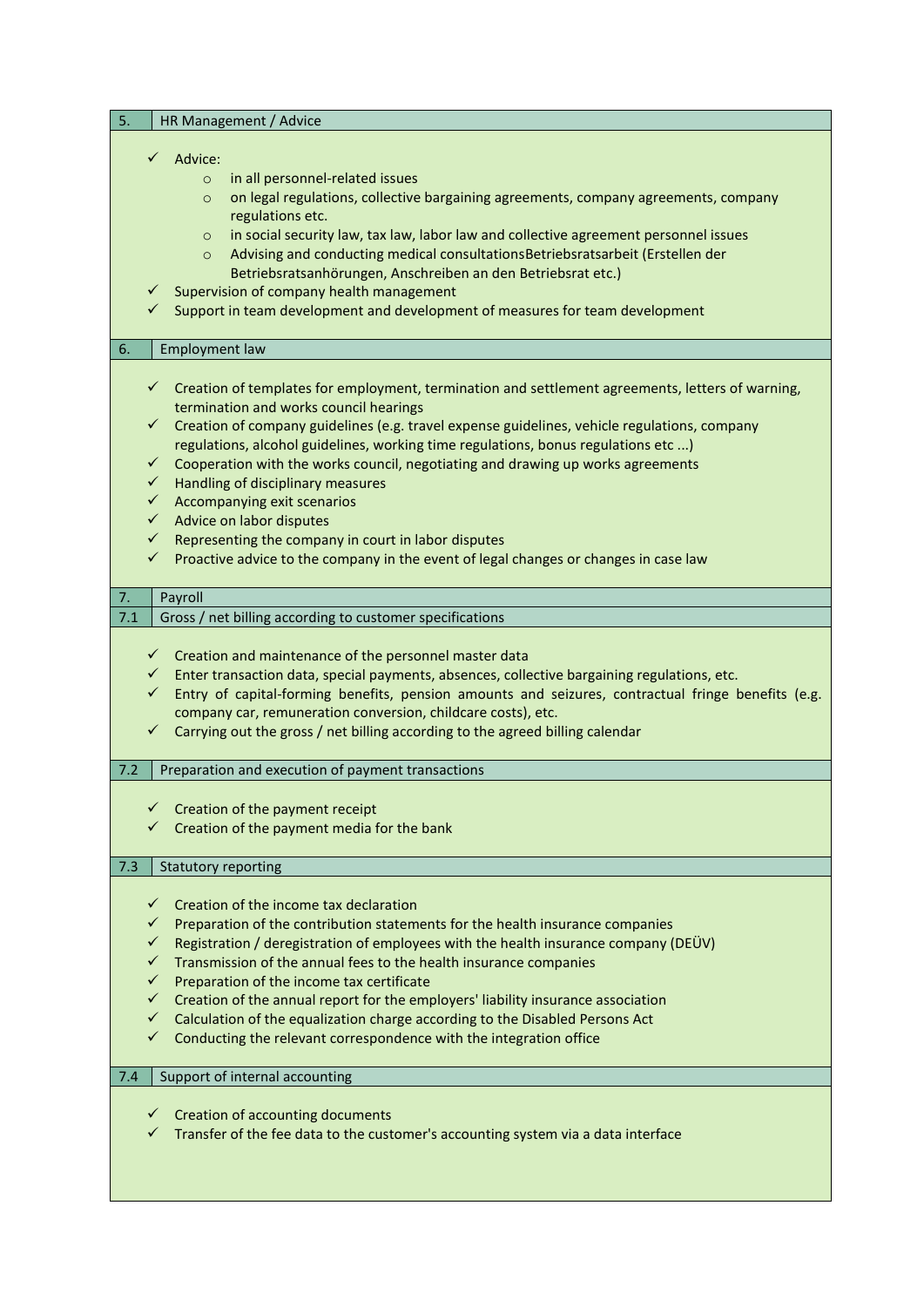| 5.<br>HR Management / Advice                                                                                                                                                                                                                                                                                                                                                                                                                                                                                                                                                                                                                                                                                                                                                           |
|----------------------------------------------------------------------------------------------------------------------------------------------------------------------------------------------------------------------------------------------------------------------------------------------------------------------------------------------------------------------------------------------------------------------------------------------------------------------------------------------------------------------------------------------------------------------------------------------------------------------------------------------------------------------------------------------------------------------------------------------------------------------------------------|
| $\checkmark$ Advice:<br>in all personnel-related issues<br>$\circ$<br>on legal regulations, collective bargaining agreements, company agreements, company<br>$\circ$<br>regulations etc.<br>in social security law, tax law, labor law and collective agreement personnel issues<br>$\circ$<br>Advising and conducting medical consultations Betriebsratsarbeit (Erstellen der<br>$\circ$<br>Betriebsratsanhörungen, Anschreiben an den Betriebsrat etc.)<br>Supervision of company health management<br>Support in team development and development of measures for team development<br>✓                                                                                                                                                                                             |
| 6.<br><b>Employment law</b>                                                                                                                                                                                                                                                                                                                                                                                                                                                                                                                                                                                                                                                                                                                                                            |
| $\checkmark$ Creation of templates for employment, termination and settlement agreements, letters of warning,<br>termination and works council hearings<br>$\checkmark$ Creation of company guidelines (e.g. travel expense guidelines, vehicle regulations, company<br>regulations, alcohol guidelines, working time regulations, bonus regulations etc )<br>$\checkmark$<br>Cooperation with the works council, negotiating and drawing up works agreements<br>$\checkmark$<br>Handling of disciplinary measures<br>$\checkmark$ Accompanying exit scenarios<br>$\checkmark$ Advice on labor disputes<br>$\checkmark$<br>Representing the company in court in labor disputes<br>$\checkmark$<br>Proactive advice to the company in the event of legal changes or changes in case law |
| 7.<br>Payroll                                                                                                                                                                                                                                                                                                                                                                                                                                                                                                                                                                                                                                                                                                                                                                          |
| Gross / net billing according to customer specifications<br>7.1                                                                                                                                                                                                                                                                                                                                                                                                                                                                                                                                                                                                                                                                                                                        |
| $\checkmark$ Creation and maintenance of the personnel master data<br>Enter transaction data, special payments, absences, collective bargaining regulations, etc.<br>$\checkmark$<br>Entry of capital-forming benefits, pension amounts and seizures, contractual fringe benefits (e.g.<br>$\checkmark$<br>company car, remuneration conversion, childcare costs), etc.<br>✓<br>Carrying out the gross / net billing according to the agreed billing calendar                                                                                                                                                                                                                                                                                                                          |
| 7.2<br>Preparation and execution of payment transactions                                                                                                                                                                                                                                                                                                                                                                                                                                                                                                                                                                                                                                                                                                                               |
| Creation of the payment receipt<br>✓<br>Creation of the payment media for the bank                                                                                                                                                                                                                                                                                                                                                                                                                                                                                                                                                                                                                                                                                                     |
| 7.3<br><b>Statutory reporting</b>                                                                                                                                                                                                                                                                                                                                                                                                                                                                                                                                                                                                                                                                                                                                                      |
| Creation of the income tax declaration<br>✓<br>Preparation of the contribution statements for the health insurance companies<br>Registration / deregistration of employees with the health insurance company (DEÜV)<br>Transmission of the annual fees to the health insurance companies<br>Preparation of the income tax certificate<br>$\checkmark$<br>Creation of the annual report for the employers' liability insurance association<br>✓<br>Calculation of the equalization charge according to the Disabled Persons Act<br>✓<br>Conducting the relevant correspondence with the integration office<br>✓                                                                                                                                                                         |
| 7.4<br>Support of internal accounting                                                                                                                                                                                                                                                                                                                                                                                                                                                                                                                                                                                                                                                                                                                                                  |
| Creation of accounting documents<br>$\checkmark$<br>Transfer of the fee data to the customer's accounting system via a data interface                                                                                                                                                                                                                                                                                                                                                                                                                                                                                                                                                                                                                                                  |